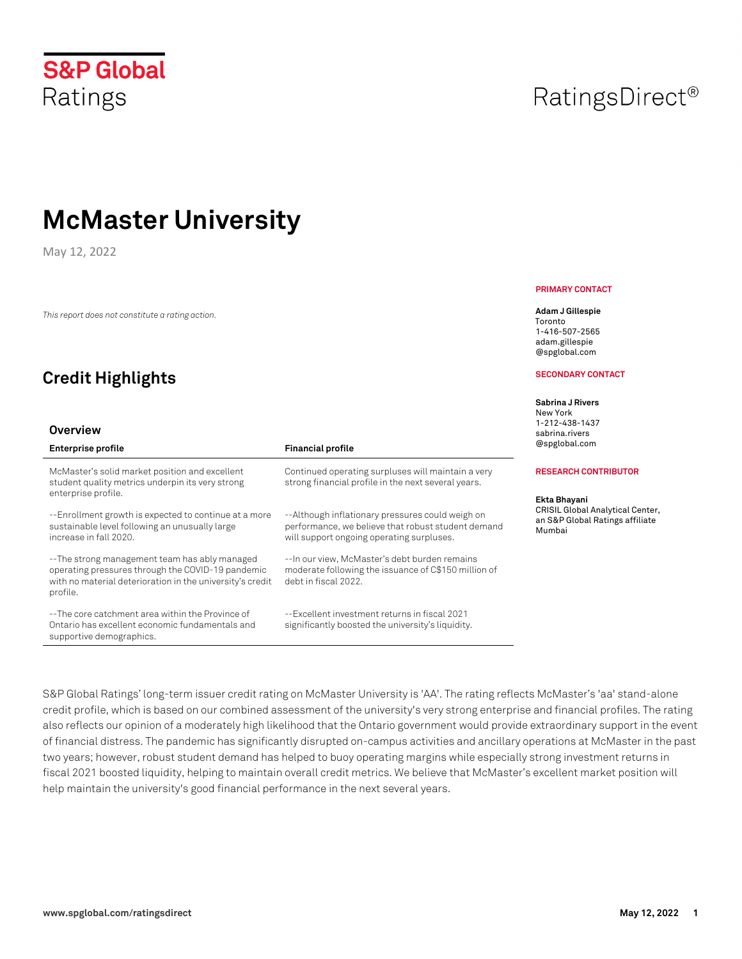**S&P Global** 

Ratings

# **McMaster University**

May 12, 2022

*This report does not constitute a rating action.*

## **Credit Highlights**

#### **Overview**

| <b>Enterprise profile</b>                                                                                                                                                   | <b>Financial profile</b>                                                                                                                            |
|-----------------------------------------------------------------------------------------------------------------------------------------------------------------------------|-----------------------------------------------------------------------------------------------------------------------------------------------------|
| McMaster's solid market position and excellent<br>student quality metrics underpin its very strong<br>enterprise profile.                                                   | Continued operating surpluses will maintain a very<br>strong financial profile in the next several years.                                           |
| --Enrollment growth is expected to continue at a more<br>sustainable level following an unusually large<br>increase in fall 2020.                                           | --Although inflationary pressures could weigh on<br>performance, we believe that robust student demand<br>will support ongoing operating surpluses. |
| --The strong management team has ably managed<br>operating pressures through the COVID-19 pandemic<br>with no material deterioration in the university's credit<br>profile. | -- In our view, McMaster's debt burden remains<br>moderate following the issuance of C\$150 million of<br>debt in fiscal 2022.                      |
| --The core catchment area within the Province of<br>Ontario has excellent economic fundamentals and<br>supportive demographics.                                             | --Excellent investment returns in fiscal 2021<br>significantly boosted the university's liquidity.                                                  |

RatingsDirect<sup>®</sup>

#### **PRIMARY CONTACT**

**Adam J Gillespie** Toronto 1-416-507-2565 adam.gillespie @spglobal.com

#### **SECONDARY CONTACT**

**Sabrina J Rivers**  New York 1-212-438-1437 sabrina.rivers @spglobal.com

#### **RESEARCH CONTRIBUTOR**

**Ekta Bhayani**  CRISIL Global Analytical Center, an S&P Global Ratings affiliate Mumbai

S&P Global Ratings' long-term issuer credit rating on McMaster University is 'AA'. The rating reflects McMaster's 'aa' stand-alone credit profile, which is based on our combined assessment of the university's very strong enterprise and financial profiles. The rating also reflects our opinion of a moderately high likelihood that the Ontario government would provide extraordinary support in the event of financial distress. The pandemic has significantly disrupted on-campus activities and ancillary operations at McMaster in the past two years; however, robust student demand has helped to buoy operating margins while especially strong investment returns in fiscal 2021 boosted liquidity, helping to maintain overall credit metrics. We believe that McMaster's excellent market position will help maintain the university's good financial performance in the next several years.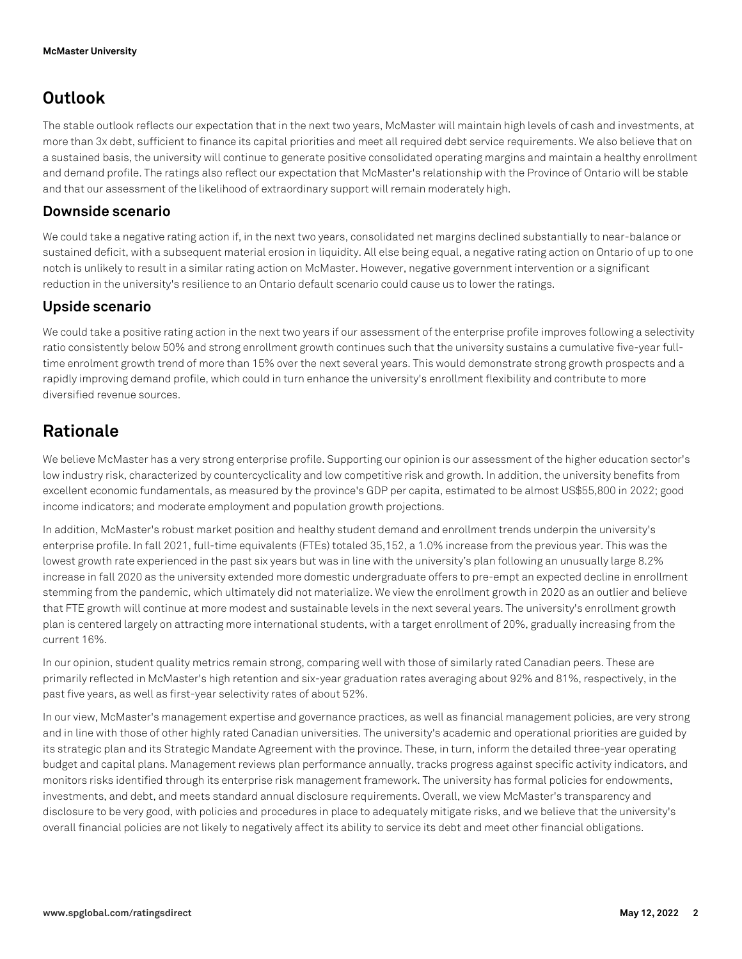### **Outlook**

The stable outlook reflects our expectation that in the next two years, McMaster will maintain high levels of cash and investments, at more than 3x debt, sufficient to finance its capital priorities and meet all required debt service requirements. We also believe that on a sustained basis, the university will continue to generate positive consolidated operating margins and maintain a healthy enrollment and demand profile. The ratings also reflect our expectation that McMaster's relationship with the Province of Ontario will be stable and that our assessment of the likelihood of extraordinary support will remain moderately high.

### **Downside scenario**

We could take a negative rating action if, in the next two years, consolidated net margins declined substantially to near-balance or sustained deficit, with a subsequent material erosion in liquidity. All else being equal, a negative rating action on Ontario of up to one notch is unlikely to result in a similar rating action on McMaster. However, negative government intervention or a significant reduction in the university's resilience to an Ontario default scenario could cause us to lower the ratings.

### **Upside scenario**

We could take a positive rating action in the next two years if our assessment of the enterprise profile improves following a selectivity ratio consistently below 50% and strong enrollment growth continues such that the university sustains a cumulative five-year fulltime enrolment growth trend of more than 15% over the next several years. This would demonstrate strong growth prospects and a rapidly improving demand profile, which could in turn enhance the university's enrollment flexibility and contribute to more diversified revenue sources.

### **Rationale**

We believe McMaster has a very strong enterprise profile. Supporting our opinion is our assessment of the higher education sector's low industry risk, characterized by countercyclicality and low competitive risk and growth. In addition, the university benefits from excellent economic fundamentals, as measured by the province's GDP per capita, estimated to be almost US\$55,800 in 2022; good income indicators; and moderate employment and population growth projections.

In addition, McMaster's robust market position and healthy student demand and enrollment trends underpin the university's enterprise profile. In fall 2021, full-time equivalents (FTEs) totaled 35,152, a 1.0% increase from the previous year. This was the lowest growth rate experienced in the past six years but was in line with the university's plan following an unusually large 8.2% increase in fall 2020 as the university extended more domestic undergraduate offers to pre-empt an expected decline in enrollment stemming from the pandemic, which ultimately did not materialize. We view the enrollment growth in 2020 as an outlier and believe that FTE growth will continue at more modest and sustainable levels in the next several years. The university's enrollment growth plan is centered largely on attracting more international students, with a target enrollment of 20%, gradually increasing from the current 16%.

In our opinion, student quality metrics remain strong, comparing well with those of similarly rated Canadian peers. These are primarily reflected in McMaster's high retention and six-year graduation rates averaging about 92% and 81%, respectively, in the past five years, as well as first-year selectivity rates of about 52%.

In our view, McMaster's management expertise and governance practices, as well as financial management policies, are very strong and in line with those of other highly rated Canadian universities. The university's academic and operational priorities are guided by its strategic plan and its Strategic Mandate Agreement with the province. These, in turn, inform the detailed three-year operating budget and capital plans. Management reviews plan performance annually, tracks progress against specific activity indicators, and monitors risks identified through its enterprise risk management framework. The university has formal policies for endowments, investments, and debt, and meets standard annual disclosure requirements. Overall, we view McMaster's transparency and disclosure to be very good, with policies and procedures in place to adequately mitigate risks, and we believe that the university's overall financial policies are not likely to negatively affect its ability to service its debt and meet other financial obligations.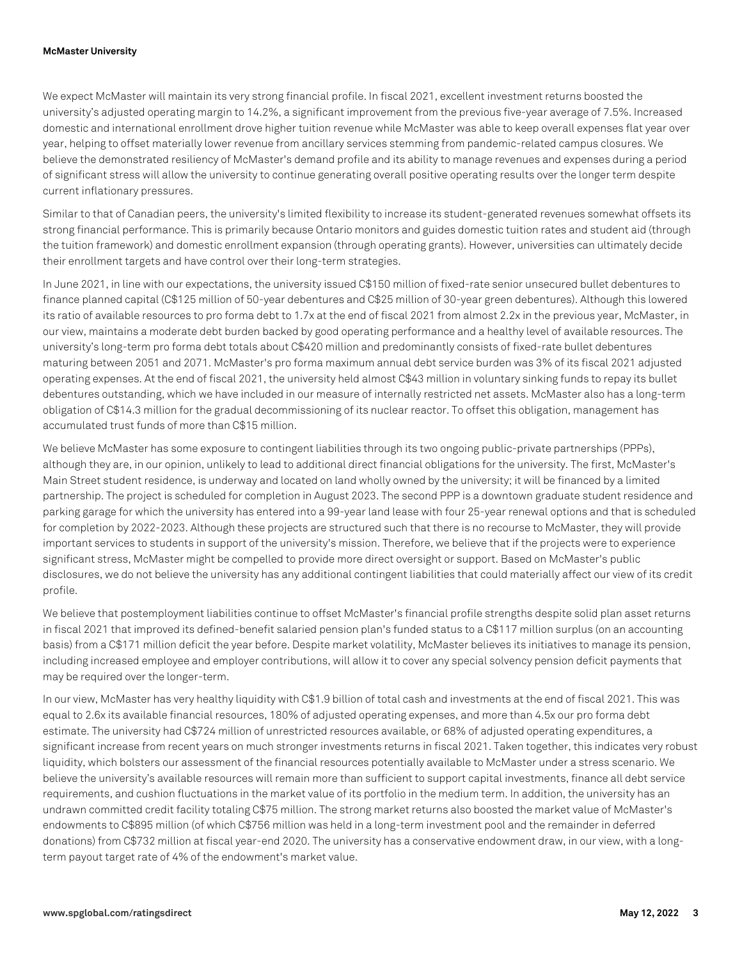#### **McMaster University**

We expect McMaster will maintain its very strong financial profile. In fiscal 2021, excellent investment returns boosted the university's adjusted operating margin to 14.2%, a significant improvement from the previous five-year average of 7.5%. Increased domestic and international enrollment drove higher tuition revenue while McMaster was able to keep overall expenses flat year over year, helping to offset materially lower revenue from ancillary services stemming from pandemic-related campus closures. We believe the demonstrated resiliency of McMaster's demand profile and its ability to manage revenues and expenses during a period of significant stress will allow the university to continue generating overall positive operating results over the longer term despite current inflationary pressures.

Similar to that of Canadian peers, the university's limited flexibility to increase its student-generated revenues somewhat offsets its strong financial performance. This is primarily because Ontario monitors and guides domestic tuition rates and student aid (through the tuition framework) and domestic enrollment expansion (through operating grants). However, universities can ultimately decide their enrollment targets and have control over their long-term strategies.

In June 2021, in line with our expectations, the university issued C\$150 million of fixed-rate senior unsecured bullet debentures to finance planned capital (C\$125 million of 50-year debentures and C\$25 million of 30-year green debentures). Although this lowered its ratio of available resources to pro forma debt to 1.7x at the end of fiscal 2021 from almost 2.2x in the previous year, McMaster, in our view, maintains a moderate debt burden backed by good operating performance and a healthy level of available resources. The university's long-term pro forma debt totals about C\$420 million and predominantly consists of fixed-rate bullet debentures maturing between 2051 and 2071. McMaster's pro forma maximum annual debt service burden was 3% of its fiscal 2021 adjusted operating expenses. At the end of fiscal 2021, the university held almost C\$43 million in voluntary sinking funds to repay its bullet debentures outstanding, which we have included in our measure of internally restricted net assets. McMaster also has a long-term obligation of C\$14.3 million for the gradual decommissioning of its nuclear reactor. To offset this obligation, management has accumulated trust funds of more than C\$15 million.

We believe McMaster has some exposure to contingent liabilities through its two ongoing public-private partnerships (PPPs), although they are, in our opinion, unlikely to lead to additional direct financial obligations for the university. The first, McMaster's Main Street student residence, is underway and located on land wholly owned by the university; it will be financed by a limited partnership. The project is scheduled for completion in August 2023. The second PPP is a downtown graduate student residence and parking garage for which the university has entered into a 99-year land lease with four 25-year renewal options and that is scheduled for completion by 2022-2023. Although these projects are structured such that there is no recourse to McMaster, they will provide important services to students in support of the university's mission. Therefore, we believe that if the projects were to experience significant stress, McMaster might be compelled to provide more direct oversight or support. Based on McMaster's public disclosures, we do not believe the university has any additional contingent liabilities that could materially affect our view of its credit profile.

We believe that postemployment liabilities continue to offset McMaster's financial profile strengths despite solid plan asset returns in fiscal 2021 that improved its defined-benefit salaried pension plan's funded status to a C\$117 million surplus (on an accounting basis) from a C\$171 million deficit the year before. Despite market volatility, McMaster believes its initiatives to manage its pension, including increased employee and employer contributions, will allow it to cover any special solvency pension deficit payments that may be required over the longer-term.

In our view, McMaster has very healthy liquidity with C\$1.9 billion of total cash and investments at the end of fiscal 2021. This was equal to 2.6x its available financial resources, 180% of adjusted operating expenses, and more than 4.5x our pro forma debt estimate. The university had C\$724 million of unrestricted resources available, or 68% of adjusted operating expenditures, a significant increase from recent years on much stronger investments returns in fiscal 2021. Taken together, this indicates very robust liquidity, which bolsters our assessment of the financial resources potentially available to McMaster under a stress scenario. We believe the university's available resources will remain more than sufficient to support capital investments, finance all debt service requirements, and cushion fluctuations in the market value of its portfolio in the medium term. In addition, the university has an undrawn committed credit facility totaling C\$75 million. The strong market returns also boosted the market value of McMaster's endowments to C\$895 million (of which C\$756 million was held in a long-term investment pool and the remainder in deferred donations) from C\$732 million at fiscal year-end 2020. The university has a conservative endowment draw, in our view, with a longterm payout target rate of 4% of the endowment's market value.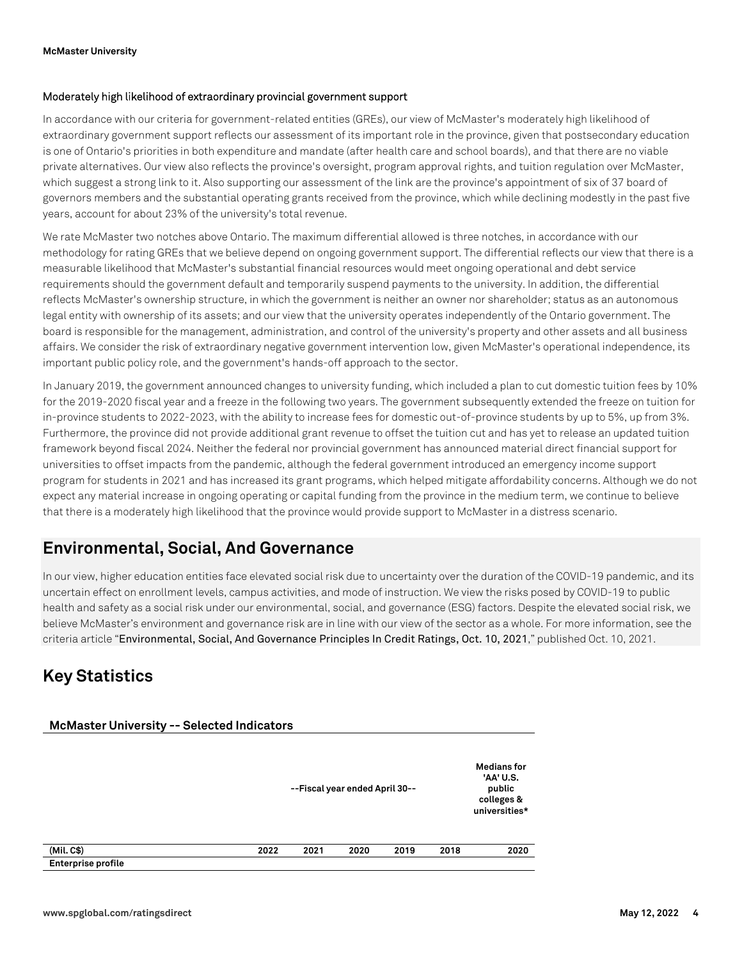#### **Moderately high likelihood of extraordinary provincial government support**

In accordance with our criteria for government-related entities (GREs), our view of McMaster's moderately high likelihood of extraordinary government support reflects our assessment of its important role in the province, given that postsecondary education is one of Ontario's priorities in both expenditure and mandate (after health care and school boards), and that there are no viable private alternatives. Our view also reflects the province's oversight, program approval rights, and tuition regulation over McMaster, which suggest a strong link to it. Also supporting our assessment of the link are the province's appointment of six of 37 board of governors members and the substantial operating grants received from the province, which while declining modestly in the past five years, account for about 23% of the university's total revenue.

We rate McMaster two notches above Ontario. The maximum differential allowed is three notches, in accordance with our methodology for rating GREs that we believe depend on ongoing government support. The differential reflects our view that there is a measurable likelihood that McMaster's substantial financial resources would meet ongoing operational and debt service requirements should the government default and temporarily suspend payments to the university. In addition, the differential reflects McMaster's ownership structure, in which the government is neither an owner nor shareholder; status as an autonomous legal entity with ownership of its assets; and our view that the university operates independently of the Ontario government. The board is responsible for the management, administration, and control of the university's property and other assets and all business affairs. We consider the risk of extraordinary negative government intervention low, given McMaster's operational independence, its important public policy role, and the government's hands-off approach to the sector.

In January 2019, the government announced changes to university funding, which included a plan to cut domestic tuition fees by 10% for the 2019-2020 fiscal year and a freeze in the following two years. The government subsequently extended the freeze on tuition for in-province students to 2022-2023, with the ability to increase fees for domestic out-of-province students by up to 5%, up from 3%. Furthermore, the province did not provide additional grant revenue to offset the tuition cut and has yet to release an updated tuition framework beyond fiscal 2024. Neither the federal nor provincial government has announced material direct financial support for universities to offset impacts from the pandemic, although the federal government introduced an emergency income support program for students in 2021 and has increased its grant programs, which helped mitigate affordability concerns. Although we do not expect any material increase in ongoing operating or capital funding from the province in the medium term, we continue to believe that there is a moderately high likelihood that the province would provide support to McMaster in a distress scenario.

### **Environmental, Social, And Governance**

In our view, higher education entities face elevated social risk due to uncertainty over the duration of the COVID-19 pandemic, and its uncertain effect on enrollment levels, campus activities, and mode of instruction. We view the risks posed by COVID-19 to public health and safety as a social risk under our environmental, social, and governance (ESG) factors. Despite the elevated social risk, we believe McMaster's environment and governance risk are in line with our view of the sector as a whole. For more information, see the criteria article "Environmental, Social, And Governance Principles In Credit Ratings, Oct. 10, 2021," published Oct. 10, 2021.

### **Key Statistics**

| <b>McMaster University -- Selected Indicators</b> |      | --Fiscal year ended April 30-- |      |      |      |      |  |
|---------------------------------------------------|------|--------------------------------|------|------|------|------|--|
| (Mil. C\$)                                        | 2022 | 2021                           | 2020 | 2019 | 2018 | 2020 |  |
| <b>Enterprise profile</b>                         |      |                                |      |      |      |      |  |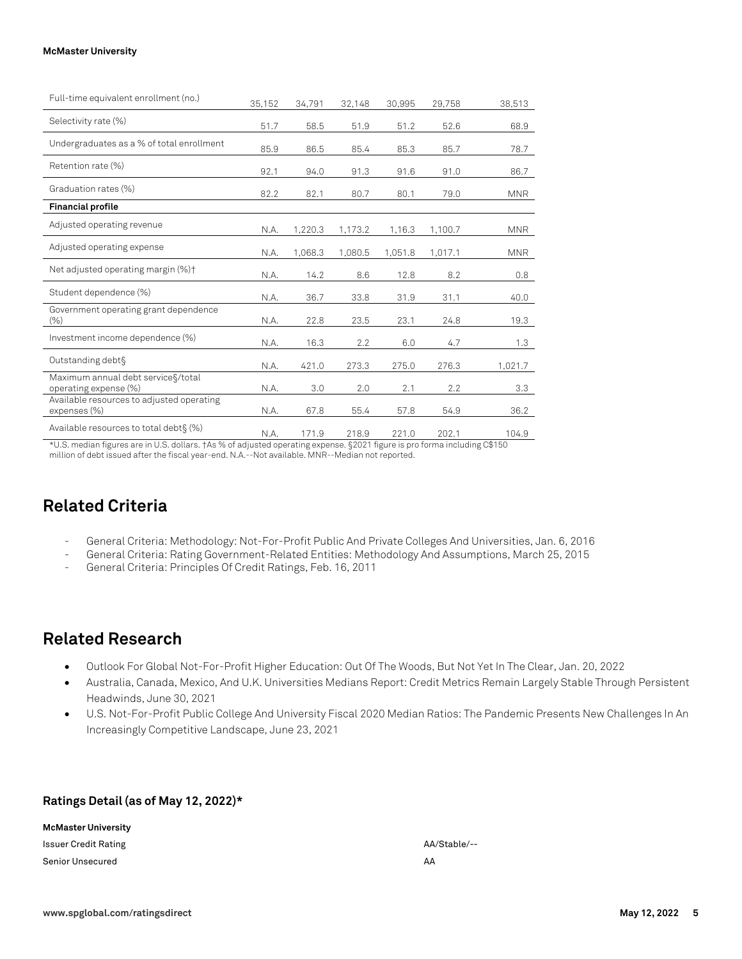| Full-time equivalent enrollment (no.)                        | 35,152 | 34,791  | 32,148  | 30,995  | 29,758  | 38,513     |
|--------------------------------------------------------------|--------|---------|---------|---------|---------|------------|
| Selectivity rate (%)                                         | 51.7   | 58.5    | 51.9    | 51.2    | 52.6    | 68.9       |
| Undergraduates as a % of total enrollment                    | 85.9   | 86.5    | 85.4    | 85.3    | 85.7    | 78.7       |
| Retention rate (%)                                           | 92.1   | 94.0    | 91.3    | 91.6    | 91.0    | 86.7       |
| Graduation rates (%)                                         | 82.2   | 82.1    | 80.7    | 80.1    | 79.0    | <b>MNR</b> |
| <b>Financial profile</b>                                     |        |         |         |         |         |            |
| Adjusted operating revenue                                   | N.A.   | 1,220.3 | 1,173.2 | 1,16.3  | 1,100.7 | <b>MNR</b> |
| Adjusted operating expense                                   | N.A.   | 1,068.3 | 1,080.5 | 1,051.8 | 1,017.1 | <b>MNR</b> |
| Net adjusted operating margin (%)+                           | N.A.   | 14.2    | 8.6     | 12.8    | 8.2     | 0.8        |
| Student dependence (%)                                       | N.A.   | 36.7    | 33.8    | 31.9    | 31.1    | 40.0       |
| Government operating grant dependence<br>$(\% )$             | N.A.   | 22.8    | 23.5    | 23.1    | 24.8    | 19.3       |
| Investment income dependence (%)                             | N.A.   | 16.3    | 2.2     | 6.0     | 4.7     | 1.3        |
| Outstanding debt§                                            | N.A.   | 421.0   | 273.3   | 275.0   | 276.3   | 1,021.7    |
| Maximum annual debt service §/total<br>operating expense (%) | N.A.   | 3.0     | 2.0     | 2.1     | 2.2     | 3.3        |
| Available resources to adjusted operating<br>expenses (%)    | N.A.   | 67.8    | 55.4    | 57.8    | 54.9    | 36.2       |
| Available resources to total debt \$(%)                      | N.A.   | 171.9   | 218.9   | 221.0   | 202.1   | 104.9      |

\*U.S. median figures are in U.S. dollars. †As % of adjusted operating expense. §2021 figure is pro forma including C\$150 million of debt issued after the fiscal year-end. N.A.--Not available. MNR--Median not reported.

### **Related Criteria**

- General Criteria: Methodology: Not-For-Profit Public And Private Colleges And Universities, Jan. 6, 2016
- General Criteria: Rating Government-Related Entities: Methodology And Assumptions, March 25, 2015
- General Criteria: Principles Of Credit Ratings, Feb. 16, 2011

### **Related Research**

- Outlook For Global Not-For-Profit Higher Education: Out Of The Woods, But Not Yet In The Clear, Jan. 20, 2022
- Australia, Canada, Mexico, And U.K. Universities Medians Report: Credit Metrics Remain Largely Stable Through Persistent Headwinds, June 30, 2021
- U.S. Not-For-Profit Public College And University Fiscal 2020 Median Ratios: The Pandemic Presents New Challenges In An Increasingly Competitive Landscape, June 23, 2021

#### **Ratings Detail (as of May 12, 2022)\***

| McMaster University     |              |
|-------------------------|--------------|
| Issuer Credit Rating    | AA/Stable/-- |
| <b>Senior Unsecured</b> | AA           |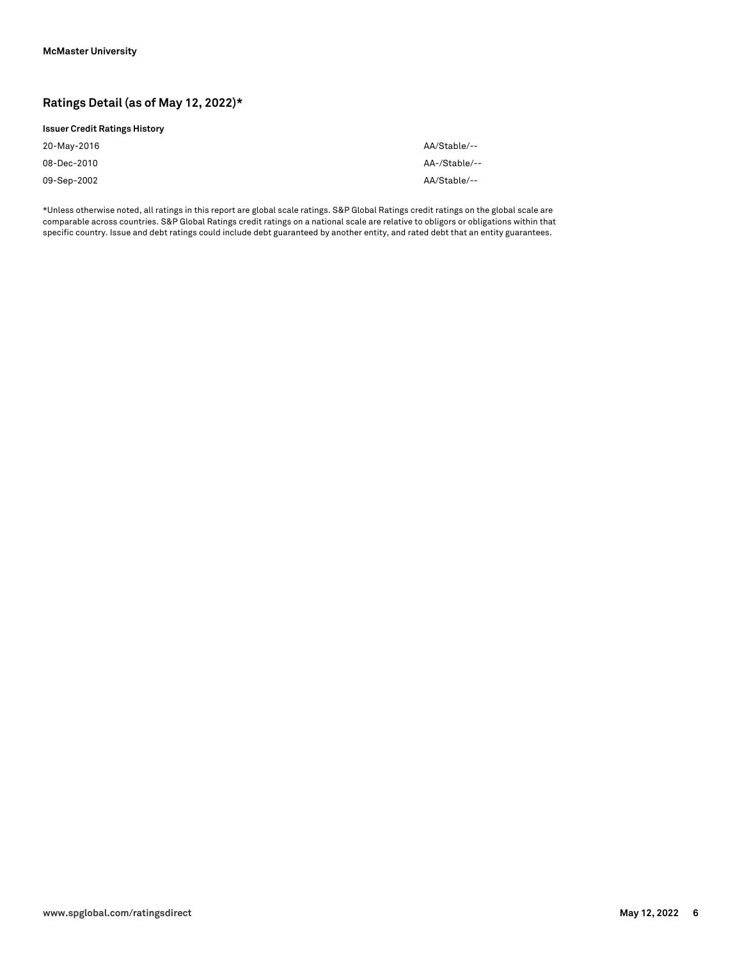### **Ratings Detail (as of May 12, 2022)\***

#### **Issuer Credit Ratings History**

| 20-May-2016 | AA/Stable/--  |
|-------------|---------------|
| 08-Dec-2010 | AA-/Stable/-- |
| 09-Sep-2002 | AA/Stable/--  |

\*Unless otherwise noted, all ratings in this report are global scale ratings. S&P Global Ratings credit ratings on the global scale are comparable across countries. S&P Global Ratings credit ratings on a national scale are relative to obligors or obligations within that specific country. Issue and debt ratings could include debt guaranteed by another entity, and rated debt that an entity guarantees.